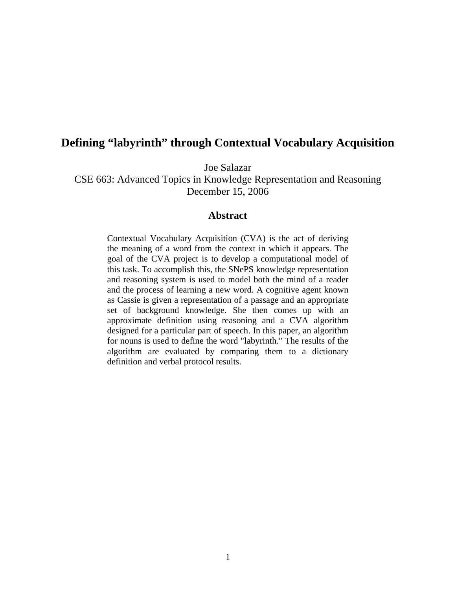# **Defining "labyrinth" through Contextual Vocabulary Acquisition**

Joe Salazar

CSE 663: Advanced Topics in Knowledge Representation and Reasoning December 15, 2006

### **Abstract**

Contextual Vocabulary Acquisition (CVA) is the act of deriving the meaning of a word from the context in which it appears. The goal of the CVA project is to develop a computational model of this task. To accomplish this, the SNePS knowledge representation and reasoning system is used to model both the mind of a reader and the process of learning a new word. A cognitive agent known as Cassie is given a representation of a passage and an appropriate set of background knowledge. She then comes up with an approximate definition using reasoning and a CVA algorithm designed for a particular part of speech. In this paper, an algorithm for nouns is used to define the word "labyrinth." The results of the algorithm are evaluated by comparing them to a dictionary definition and verbal protocol results.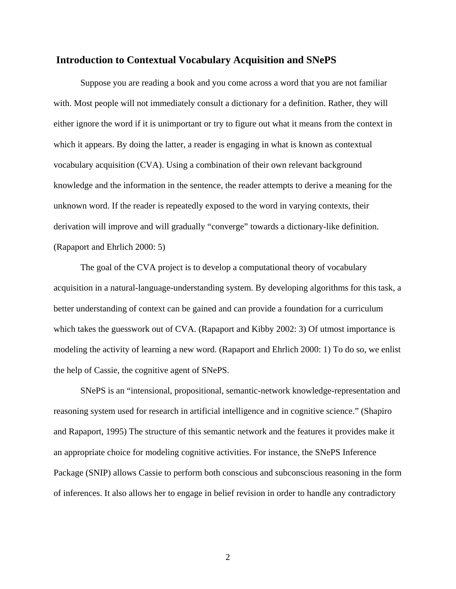#### **Introduction to Contextual Vocabulary Acquisition and SNePS**

Suppose you are reading a book and you come across a word that you are not familiar with. Most people will not immediately consult a dictionary for a definition. Rather, they will either ignore the word if it is unimportant or try to figure out what it means from the context in which it appears. By doing the latter, a reader is engaging in what is known as contextual vocabulary acquisition (CVA). Using a combination of their own relevant background knowledge and the information in the sentence, the reader attempts to derive a meaning for the unknown word. If the reader is repeatedly exposed to the word in varying contexts, their derivation will improve and will gradually "converge" towards a dictionary-like definition. (Rapaport and Ehrlich 2000: 5)

The goal of the CVA project is to develop a computational theory of vocabulary acquisition in a natural-language-understanding system. By developing algorithms for this task, a better understanding of context can be gained and can provide a foundation for a curriculum which takes the guesswork out of CVA. (Rapaport and Kibby 2002: 3) Of utmost importance is modeling the activity of learning a new word. (Rapaport and Ehrlich 2000: 1) To do so, we enlist the help of Cassie, the cognitive agent of SNePS.

SNePS is an "intensional, propositional, semantic-network knowledge-representation and reasoning system used for research in artificial intelligence and in cognitive science." (Shapiro and Rapaport, 1995) The structure of this semantic network and the features it provides make it an appropriate choice for modeling cognitive activities. For instance, the SNePS Inference Package (SNIP) allows Cassie to perform both conscious and subconscious reasoning in the form of inferences. It also allows her to engage in belief revision in order to handle any contradictory

2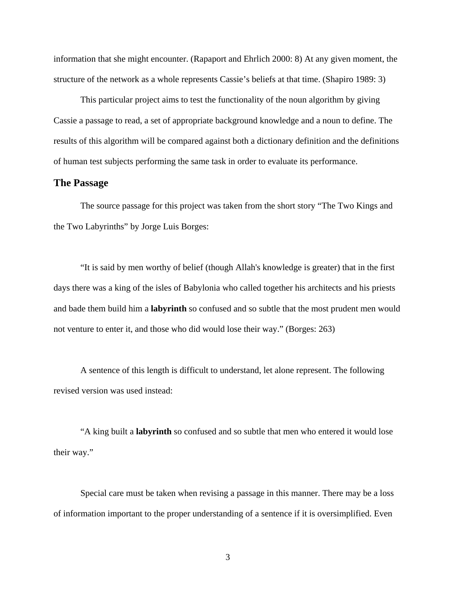information that she might encounter. (Rapaport and Ehrlich 2000: 8) At any given moment, the structure of the network as a whole represents Cassie's beliefs at that time. (Shapiro 1989: 3)

This particular project aims to test the functionality of the noun algorithm by giving Cassie a passage to read, a set of appropriate background knowledge and a noun to define. The results of this algorithm will be compared against both a dictionary definition and the definitions of human test subjects performing the same task in order to evaluate its performance.

### **The Passage**

The source passage for this project was taken from the short story "The Two Kings and the Two Labyrinths" by Jorge Luis Borges:

"It is said by men worthy of belief (though Allah's knowledge is greater) that in the first days there was a king of the isles of Babylonia who called together his architects and his priests and bade them build him a **labyrinth** so confused and so subtle that the most prudent men would not venture to enter it, and those who did would lose their way." (Borges: 263)

A sentence of this length is difficult to understand, let alone represent. The following revised version was used instead:

"A king built a **labyrinth** so confused and so subtle that men who entered it would lose their way."

Special care must be taken when revising a passage in this manner. There may be a loss of information important to the proper understanding of a sentence if it is oversimplified. Even

3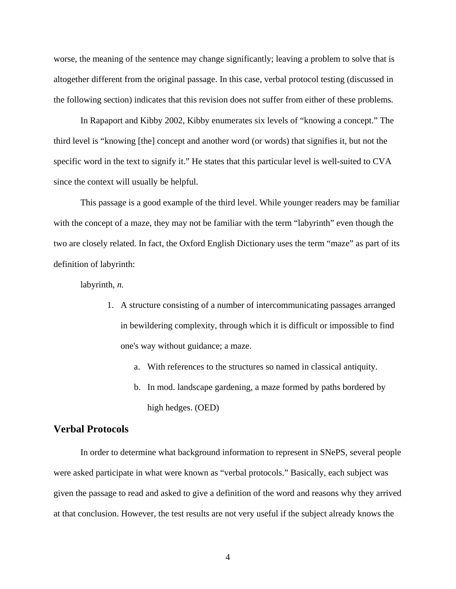worse, the meaning of the sentence may change significantly; leaving a problem to solve that is altogether different from the original passage. In this case, verbal protocol testing (discussed in the following section) indicates that this revision does not suffer from either of these problems.

In Rapaport and Kibby 2002, Kibby enumerates six levels of "knowing a concept." The third level is "knowing [the] concept and another word (or words) that signifies it, but not the specific word in the text to signify it." He states that this particular level is well-suited to CVA since the context will usually be helpful.

This passage is a good example of the third level. While younger readers may be familiar with the concept of a maze, they may not be familiar with the term "labyrinth" even though the two are closely related. In fact, the Oxford English Dictionary uses the term "maze" as part of its definition of labyrinth:

labyrinth, *n.*

- 1. A structure consisting of a number of intercommunicating passages arranged in bewildering complexity, through which it is difficult or impossible to find one's way without guidance; a maze.
	- a. With references to the structures so named in classical antiquity.
	- b. In mod. landscape gardening, a maze formed by paths bordered by high hedges. (OED)

## **Verbal Protocols**

In order to determine what background information to represent in SNePS, several people were asked participate in what were known as "verbal protocols." Basically, each subject was given the passage to read and asked to give a definition of the word and reasons why they arrived at that conclusion. However, the test results are not very useful if the subject already knows the

4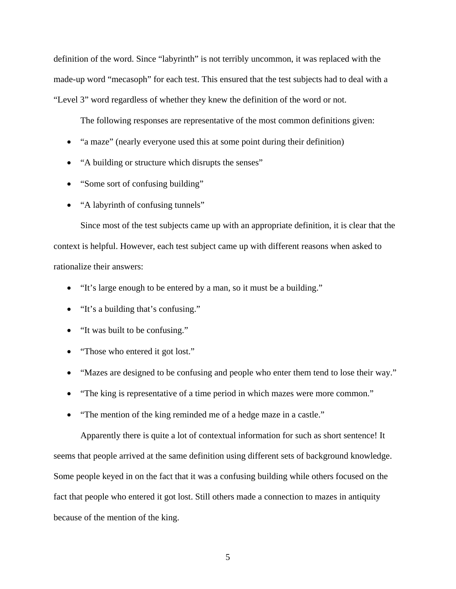definition of the word. Since "labyrinth" is not terribly uncommon, it was replaced with the made-up word "mecasoph" for each test. This ensured that the test subjects had to deal with a "Level 3" word regardless of whether they knew the definition of the word or not.

The following responses are representative of the most common definitions given:

- "a maze" (nearly everyone used this at some point during their definition)
- "A building or structure which disrupts the senses"
- "Some sort of confusing building"
- "A labyrinth of confusing tunnels"

Since most of the test subjects came up with an appropriate definition, it is clear that the context is helpful. However, each test subject came up with different reasons when asked to rationalize their answers:

- "It's large enough to be entered by a man, so it must be a building."
- "It's a building that's confusing."
- "It was built to be confusing."
- "Those who entered it got lost."
- "Mazes are designed to be confusing and people who enter them tend to lose their way."
- "The king is representative of a time period in which mazes were more common."
- "The mention of the king reminded me of a hedge maze in a castle."

Apparently there is quite a lot of contextual information for such as short sentence! It seems that people arrived at the same definition using different sets of background knowledge. Some people keyed in on the fact that it was a confusing building while others focused on the fact that people who entered it got lost. Still others made a connection to mazes in antiquity because of the mention of the king.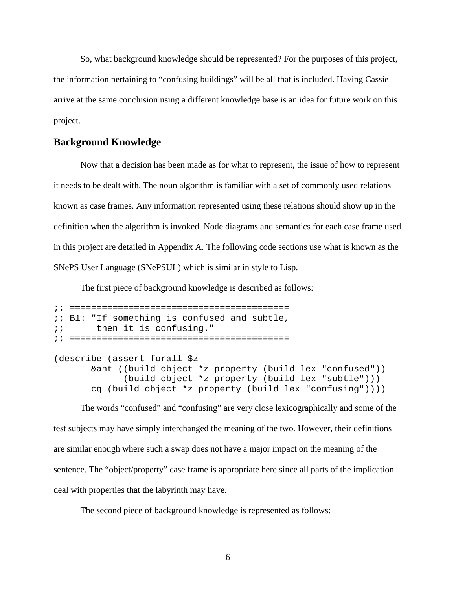So, what background knowledge should be represented? For the purposes of this project, the information pertaining to "confusing buildings" will be all that is included. Having Cassie arrive at the same conclusion using a different knowledge base is an idea for future work on this project.

### **Background Knowledge**

Now that a decision has been made as for what to represent, the issue of how to represent it needs to be dealt with. The noun algorithm is familiar with a set of commonly used relations known as case frames. Any information represented using these relations should show up in the definition when the algorithm is invoked. Node diagrams and semantics for each case frame used in this project are detailed in Appendix A. The following code sections use what is known as the SNePS User Language (SNePSUL) which is similar in style to Lisp.

The first piece of background knowledge is described as follows:

```
;; ========================================= 
;; B1: "If something is confused and subtle, 
i; then it is confusing."
;; ========================================= 
(describe (assert forall $z 
        &ant ((build object *z property (build lex "confused")) 
              (build object *z property (build lex "subtle"))) 
        cq (build object *z property (build lex "confusing"))))
```
The words "confused" and "confusing" are very close lexicographically and some of the test subjects may have simply interchanged the meaning of the two. However, their definitions are similar enough where such a swap does not have a major impact on the meaning of the sentence. The "object/property" case frame is appropriate here since all parts of the implication deal with properties that the labyrinth may have.

The second piece of background knowledge is represented as follows: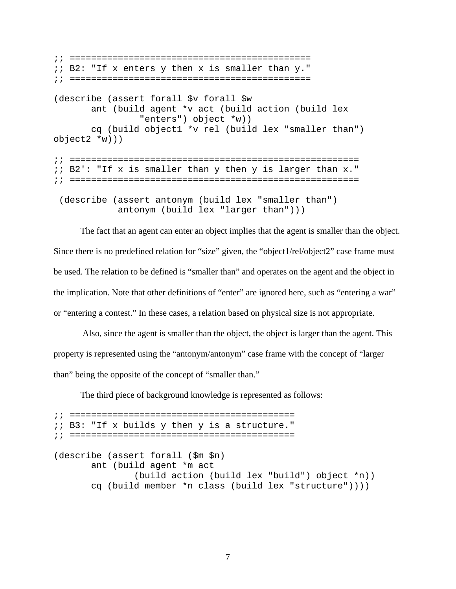```
;; ============================================= 
;; B2: "If x enters y then x is smaller than y." 
;; ============================================= 
(describe (assert forall $v forall $w 
        ant (build agent *v act (build action (build lex 
                 "enters") object *w)) 
        cq (build object1 *v rel (build lex "smaller than") 
object2 *w))) 
;; ====================================================== 
;; B2': "If x is smaller than y then y is larger than x." 
;; ====================================================== 
  (describe (assert antonym (build lex "smaller than") 
             antonym (build lex "larger than")))
```
The fact that an agent can enter an object implies that the agent is smaller than the object. Since there is no predefined relation for "size" given, the "object1/rel/object2" case frame must be used. The relation to be defined is "smaller than" and operates on the agent and the object in the implication. Note that other definitions of "enter" are ignored here, such as "entering a war" or "entering a contest." In these cases, a relation based on physical size is not appropriate.

 Also, since the agent is smaller than the object, the object is larger than the agent. This property is represented using the "antonym/antonym" case frame with the concept of "larger than" being the opposite of the concept of "smaller than."

The third piece of background knowledge is represented as follows:

;; ========================================== ;; B3: "If x builds y then y is a structure." ;; ========================================== (describe (assert forall (\$m \$n) ant (build agent \*m act (build action (build lex "build") object \*n)) cq (build member \*n class (build lex "structure"))))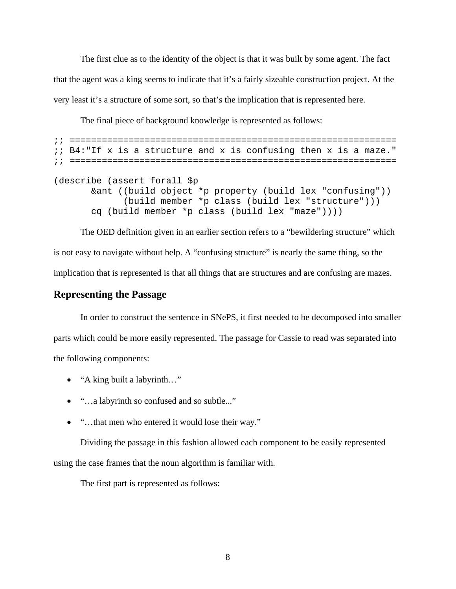The first clue as to the identity of the object is that it was built by some agent. The fact that the agent was a king seems to indicate that it's a fairly sizeable construction project. At the very least it's a structure of some sort, so that's the implication that is represented here.

The final piece of background knowledge is represented as follows:

```
;; ============================================================= 
;; B4:"If x is a structure and x is confusing then x is a maze." 
;; ============================================================= 
(describe (assert forall $p 
        &ant ((build object *p property (build lex "confusing")) 
              (build member *p class (build lex "structure"))) 
        cq (build member *p class (build lex "maze"))))
```
The OED definition given in an earlier section refers to a "bewildering structure" which is not easy to navigate without help. A "confusing structure" is nearly the same thing, so the implication that is represented is that all things that are structures and are confusing are mazes.

### **Representing the Passage**

In order to construct the sentence in SNePS, it first needed to be decomposed into smaller parts which could be more easily represented. The passage for Cassie to read was separated into the following components:

- "A king built a labyrinth..."
- "...a labyrinth so confused and so subtle..."
- "...that men who entered it would lose their way."

Dividing the passage in this fashion allowed each component to be easily represented using the case frames that the noun algorithm is familiar with.

The first part is represented as follows: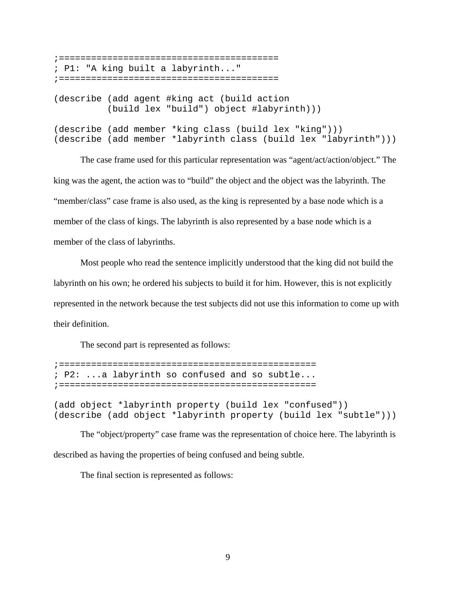;========================================= ; P1: "A king built a labyrinth..." ;========================================= (describe (add agent #king act (build action (build lex "build") object #labyrinth))) (describe (add member \*king class (build lex "king"))) (describe (add member \*labyrinth class (build lex "labyrinth")))

The case frame used for this particular representation was "agent/act/action/object." The king was the agent, the action was to "build" the object and the object was the labyrinth. The "member/class" case frame is also used, as the king is represented by a base node which is a member of the class of kings. The labyrinth is also represented by a base node which is a member of the class of labyrinths.

Most people who read the sentence implicitly understood that the king did not build the labyrinth on his own; he ordered his subjects to build it for him. However, this is not explicitly represented in the network because the test subjects did not use this information to come up with their definition.

The second part is represented as follows:

;================================================ ; P2: ...a labyrinth so confused and so subtle... ;================================================

(add object \*labyrinth property (build lex "confused")) (describe (add object \*labyrinth property (build lex "subtle")))

The "object/property" case frame was the representation of choice here. The labyrinth is described as having the properties of being confused and being subtle.

The final section is represented as follows: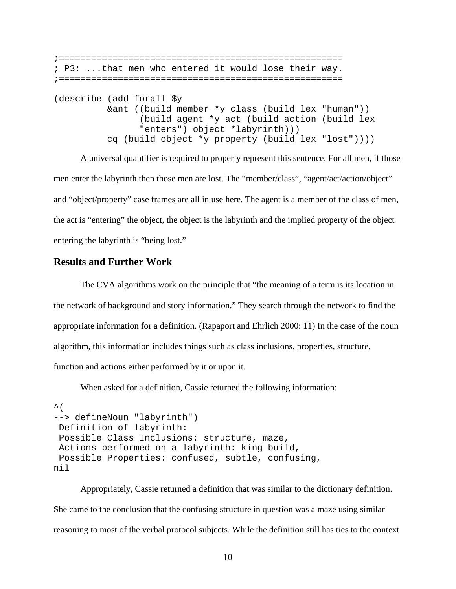```
;===================================================== 
; P3: ...that men who entered it would lose their way. 
;===================================================== 
(describe (add forall $y 
           &ant ((build member *y class (build lex "human")) 
                 (build agent *y act (build action (build lex 
                 "enters") object *labyrinth))) 
           cq (build object *y property (build lex "lost"))))
```
A universal quantifier is required to properly represent this sentence. For all men, if those men enter the labyrinth then those men are lost. The "member/class", "agent/act/action/object" and "object/property" case frames are all in use here. The agent is a member of the class of men, the act is "entering" the object, the object is the labyrinth and the implied property of the object entering the labyrinth is "being lost."

## **Results and Further Work**

The CVA algorithms work on the principle that "the meaning of a term is its location in the network of background and story information." They search through the network to find the appropriate information for a definition. (Rapaport and Ehrlich 2000: 11) In the case of the noun algorithm, this information includes things such as class inclusions, properties, structure, function and actions either performed by it or upon it.

When asked for a definition, Cassie returned the following information:

```
\hat{\mathcal{L}} (
--> defineNoun "labyrinth") 
  Definition of labyrinth: 
  Possible Class Inclusions: structure, maze, 
  Actions performed on a labyrinth: king build, 
  Possible Properties: confused, subtle, confusing, 
nil
```
Appropriately, Cassie returned a definition that was similar to the dictionary definition. She came to the conclusion that the confusing structure in question was a maze using similar reasoning to most of the verbal protocol subjects. While the definition still has ties to the context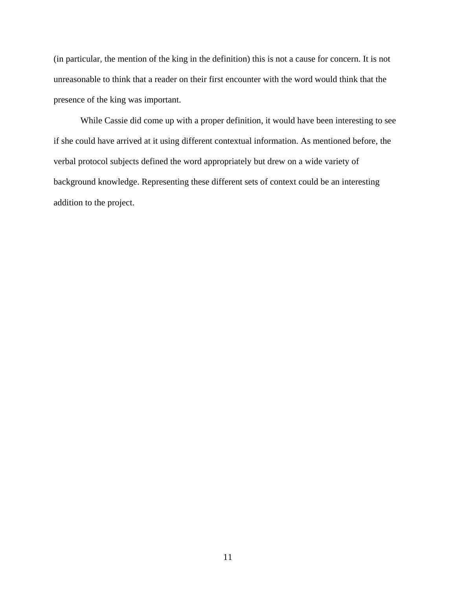(in particular, the mention of the king in the definition) this is not a cause for concern. It is not unreasonable to think that a reader on their first encounter with the word would think that the presence of the king was important.

While Cassie did come up with a proper definition, it would have been interesting to see if she could have arrived at it using different contextual information. As mentioned before, the verbal protocol subjects defined the word appropriately but drew on a wide variety of background knowledge. Representing these different sets of context could be an interesting addition to the project.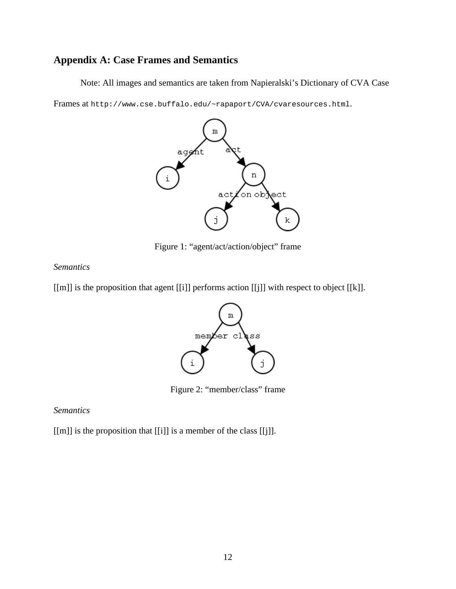# **Appendix A: Case Frames and Semantics**

Note: All images and semantics are taken from Napieralski's Dictionary of CVA Case

Frames at http://www.cse.buffalo.edu/~rapaport/CVA/cvaresources.html.



Figure 1: "agent/act/action/object" frame

## *Semantics*

[[m]] is the proposition that agent [[i]] performs action [[j]] with respect to object [[k]].



Figure 2: "member/class" frame

## *Semantics*

[[m]] is the proposition that [[i]] is a member of the class [[j]].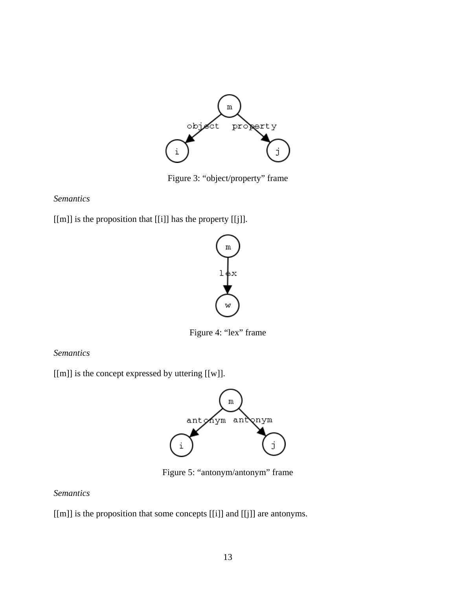

Figure 3: "object/property" frame

# *Semantics*

[[m]] is the proposition that [[i]] has the property [[j]].



Figure 4: "lex" frame

*Semantics*

[[m]] is the concept expressed by uttering [[w]].



Figure 5: "antonym/antonym" frame

# *Semantics*

[[m]] is the proposition that some concepts [[i]] and [[j]] are antonyms.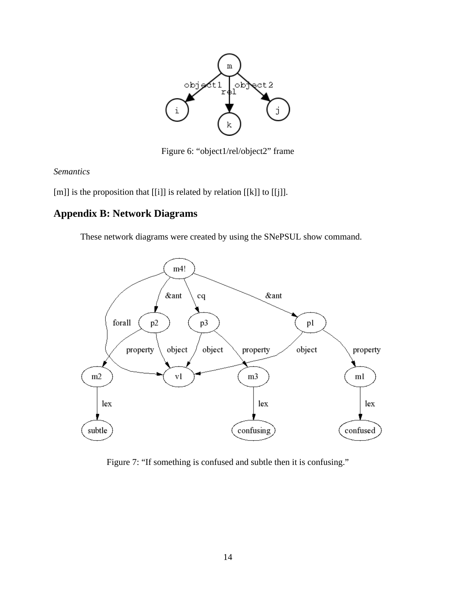

Figure 6: "object1/rel/object2" frame

*Semantics* 

[m]] is the proposition that [[i]] is related by relation [[k]] to [[j]].

# **Appendix B: Network Diagrams**

These network diagrams were created by using the SNePSUL show command.



Figure 7: "If something is confused and subtle then it is confusing."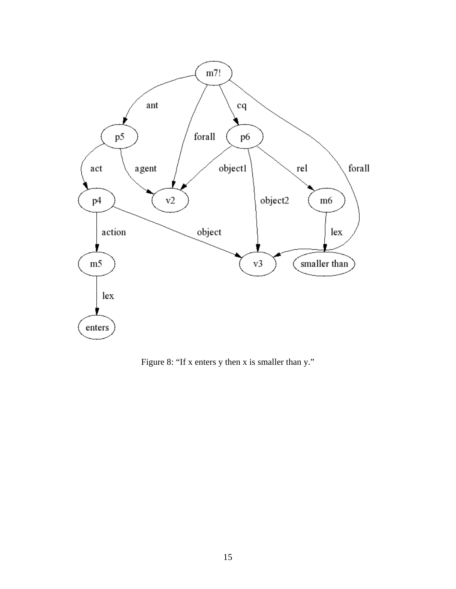

Figure 8: "If x enters y then x is smaller than y."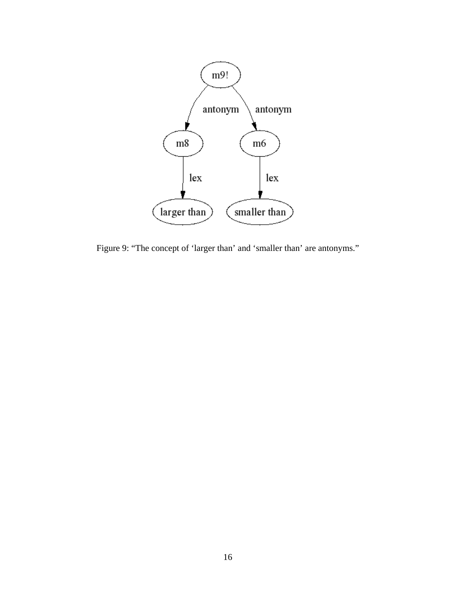

Figure 9: "The concept of 'larger than' and 'smaller than' are antonyms."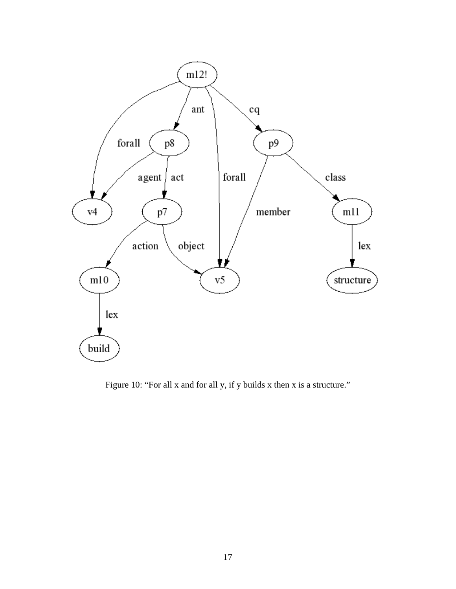

Figure 10: "For all x and for all y, if y builds x then x is a structure."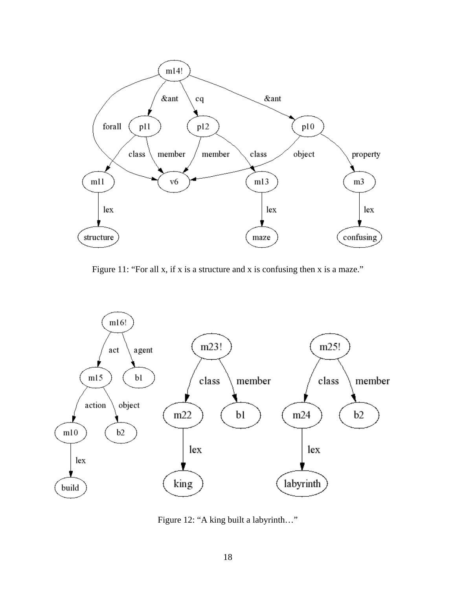

Figure 11: "For all x, if x is a structure and x is confusing then x is a maze."



Figure 12: "A king built a labyrinth…"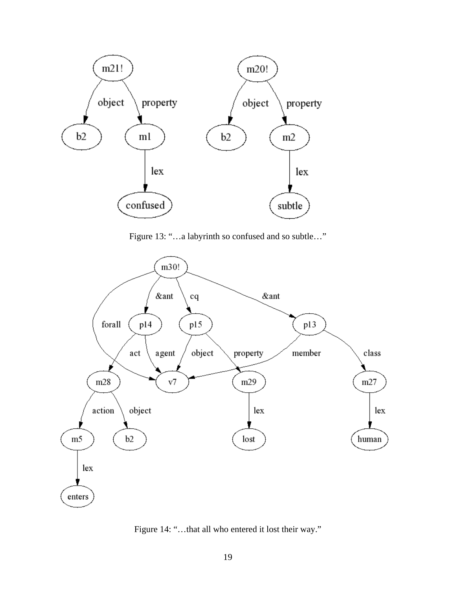

Figure 13: "…a labyrinth so confused and so subtle…"



Figure 14: "…that all who entered it lost their way."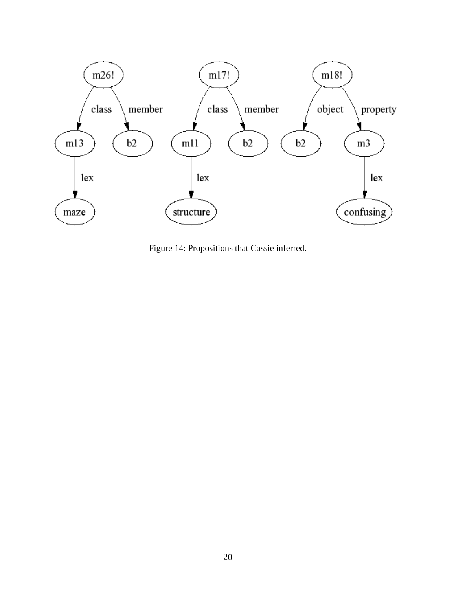

Figure 14: Propositions that Cassie inferred.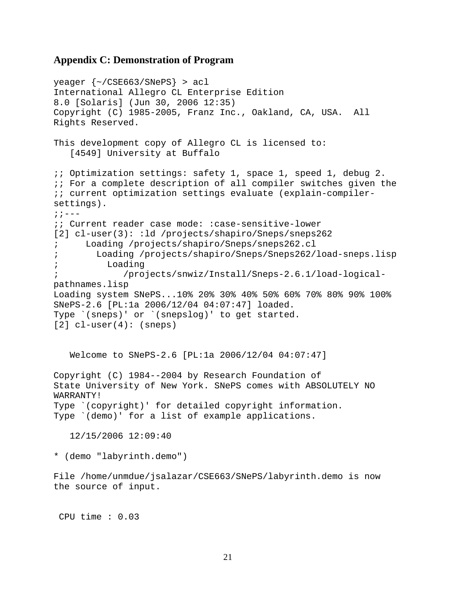### **Appendix C: Demonstration of Program**

```
yeager {~/CSE663/SNePS} > acl 
International Allegro CL Enterprise Edition 
8.0 [Solaris] (Jun 30, 2006 12:35) 
Copyright (C) 1985-2005, Franz Inc., Oakland, CA, USA. All 
Rights Reserved. 
This development copy of Allegro CL is licensed to:
    [4549] University at Buffalo 
;; Optimization settings: safety 1, space 1, speed 1, debug 2. 
i; For a complete description of all compiler switches given the
;; current optimization settings evaluate (explain-compiler-
settings). 
; \; ; \; --;; Current reader case mode: :case-sensitive-lower 
[2] cl-user(3): :ld /projects/shapiro/Sneps/sneps262
; Loading /projects/shapiro/Sneps/sneps262.cl 
; Loading /projects/shapiro/Sneps/Sneps262/load-sneps.lisp 
; Loading 
             ; /projects/snwiz/Install/Sneps-2.6.1/load-logical-
pathnames.lisp 
Loading system SNePS...10% 20% 30% 40% 50% 60% 70% 80% 90% 100% 
SNePS-2.6 [PL:1a 2006/12/04 04:07:47] loaded. 
Type `(sneps)' or `(snepslog)' to get started. 
[2] cl-user(4): (sneps)
    Welcome to SNePS-2.6 [PL:1a 2006/12/04 04:07:47] 
Copyright (C) 1984--2004 by Research Foundation of 
State University of New York. SNePS comes with ABSOLUTELY NO 
WARRANTY! 
Type `(copyright)' for detailed copyright information. 
Type `(demo)' for a list of example applications. 
    12/15/2006 12:09:40 
* (demo "labyrinth.demo") 
File /home/unmdue/jsalazar/CSE663/SNePS/labyrinth.demo is now 
the source of input.
```
CPU time : 0.03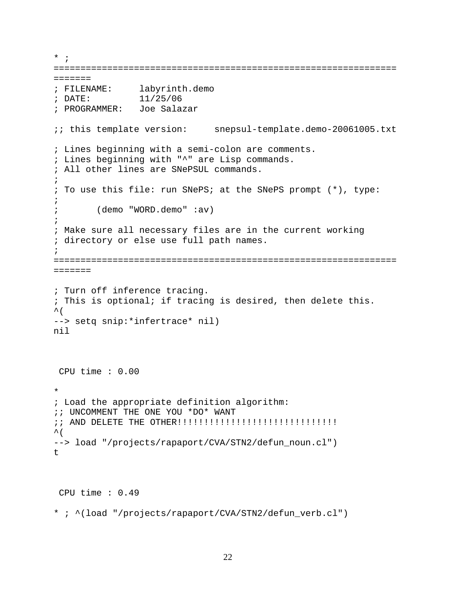```
* ; 
================================================================
======= 
; FILENAME: labyrinth.demo 
; DATE: 11/25/06 
; PROGRAMMER: Joe Salazar 
;; this template version: snepsul-template.demo-20061005.txt 
; Lines beginning with a semi-colon are comments. 
; Lines beginning with "^" are Lisp commands. 
; All other lines are SNePSUL commands. 
\mathfrak{i}; To use this file: run SNePS; at the SNePS prompt (*), type: 
\mathfrak{i}; (demo "WORD.demo" :av) 
\mathfrak{i}; Make sure all necessary files are in the current working 
; directory or else use full path names. 
\mathfrak{i}================================================================
======= 
; Turn off inference tracing. 
; This is optional; if tracing is desired, then delete this. 
\sim (
--> setq snip:*infertrace* nil) 
nil 
  CPU time : 0.00 
* 
; Load the appropriate definition algorithm: 
;; UNCOMMENT THE ONE YOU *DO* WANT 
;; AND DELETE THE OTHER!!!!!!!!!!!!!!!!!!!!!!!!!!!!!! 
\sim (
--> load "/projects/rapaport/CVA/STN2/defun_noun.cl") 
t 
  CPU time : 0.49 
* ; ^(load "/projects/rapaport/CVA/STN2/defun_verb.cl")
```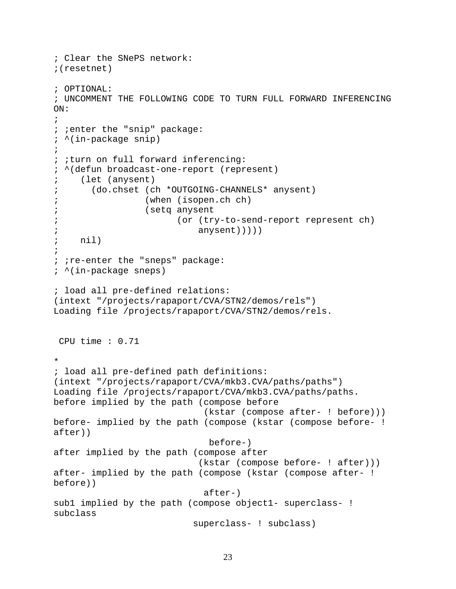```
; Clear the SNePS network: 
;(resetnet) 
; OPTIONAL: 
; UNCOMMENT THE FOLLOWING CODE TO TURN FULL FORWARD INFERENCING 
ON: 
; 
; ;enter the "snip" package: 
; ^(in-package snip) 
; 
; ;turn on full forward inferencing: 
; ^(defun broadcast-one-report (represent) 
; (let (anysent) 
; (do.chset (ch *OUTGOING-CHANNELS* anysent) 
; (when (isopen.ch ch) 
; (setq anysent 
; (or (try-to-send-report represent ch) 
                           anysent)))))
; nil) 
\mathfrak{i}; ; re-enter the "sneps" package:
; ^(in-package sneps) 
; load all pre-defined relations: 
(intext "/projects/rapaport/CVA/STN2/demos/rels") 
Loading file /projects/rapaport/CVA/STN2/demos/rels. 
 CPU time : 0.71 
* 
; load all pre-defined path definitions: 
(intext "/projects/rapaport/CVA/mkb3.CVA/paths/paths") 
Loading file /projects/rapaport/CVA/mkb3.CVA/paths/paths. 
before implied by the path (compose before 
                              (kstar (compose after- ! before))) 
before- implied by the path (compose (kstar (compose before- ! 
after)) 
                              before-) 
after implied by the path (compose after 
                            (kstar (compose before- ! after))) 
after- implied by the path (compose (kstar (compose after- ! 
before)) 
                             after-) 
subl implied by the path (compose object1- superclass- !
subclass 
                           superclass- ! subclass)
```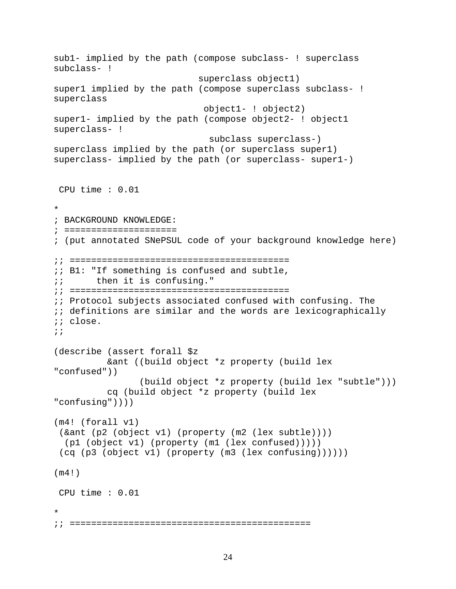```
sub1- implied by the path (compose subclass- ! superclass 
subclass- ! 
                             superclass object1) 
super1 implied by the path (compose superclass subclass- ! 
superclass 
                              object1- ! object2) 
super1- implied by the path (compose object2- ! object1 
superclass- ! 
                               subclass superclass-) 
superclass implied by the path (or superclass super1) 
superclass- implied by the path (or superclass- super1-) 
 CPU time : 0.01 
* 
; BACKGROUND KNOWLEDGE: 
; ===================== 
; (put annotated SNePSUL code of your background knowledge here) 
;; ========================================= 
;; B1: "If something is confused and subtle, 
;; then it is confusing." 
;; ========================================= 
;; Protocol subjects associated confused with confusing. The 
i; definitions are similar and the words are lexicographically
;; close. 
\mathbf{i};
(describe (assert forall $z 
           &ant ((build object *z property (build lex 
"confused")) 
                  (build object *z property (build lex "subtle"))) 
           cq (build object *z property (build lex 
"confusing")))) 
(m4! (forall v1) 
  (&ant (p2 (object v1) (property (m2 (lex subtle)))) 
   (p1 (object v1) (property (m1 (lex confused))))) 
  (cq (p3 (object v1) (property (m3 (lex confusing)))))) 
(m4!) 
 CPU time : 0.01 
* 
;; =============================================
```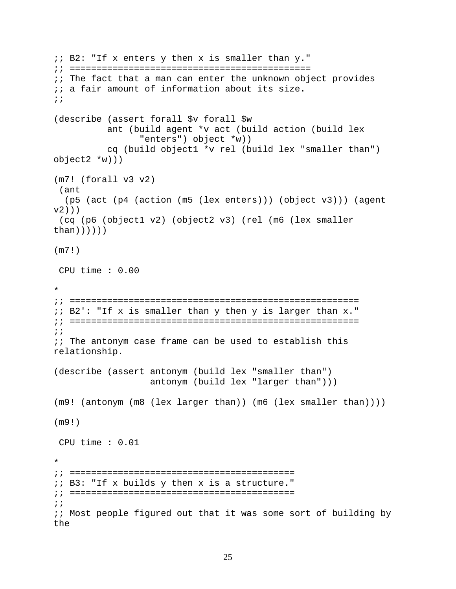```
i: B2: "If x enters y then x is smaller than y.";; ============================================= 
;; The fact that a man can enter the unknown object provides 
;; a fair amount of information about its size. 
;; 
(describe (assert forall $v forall $w 
           ant (build agent *v act (build action (build lex 
                  "enters") object *w)) 
           cq (build object1 *v rel (build lex "smaller than") 
object2 *w))) 
(m7! (forall v3 v2) 
  (ant 
   (p5 (act (p4 (action (m5 (lex enters))) (object v3))) (agent 
v2)))
  (cq (p6 (object1 v2) (object2 v3) (rel (m6 (lex smaller 
than))))))
(m7!) 
  CPU time : 0.00 
* 
;; ====================================================== 
;; B2': "If x is smaller than y then y is larger than x." 
;; ====================================================== 
\mathbf{i};
;; The antonym case frame can be used to establish this 
relationship. 
(describe (assert antonym (build lex "smaller than") 
                    antonym (build lex "larger than"))) 
(m9! (antonym (m8 (lex larger than)) (m6 (lex smaller than)))) 
(m9!) 
  CPU time : 0.01 
* 
;; ========================================== 
;; B3: "If x builds y then x is a structure." 
;; ========================================== 
\mathbf{i};
;; Most people figured out that it was some sort of building by 
the
```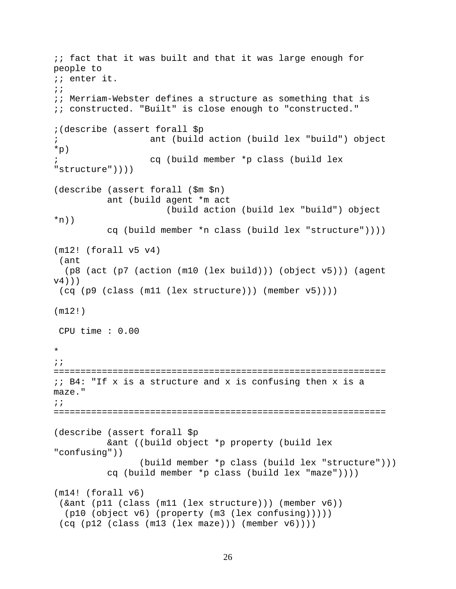```
;; fact that it was built and that it was large enough for 
people to 
;; enter it. 
\mathbf{i};
;; Merriam-Webster defines a structure as something that is 
;; constructed. "Built" is close enough to "constructed." 
;(describe (assert forall $p 
; ant (build action (build lex "build") object 
*p) 
; cq (build member *p class (build lex 
"structure")))) 
(describe (assert forall ($m $n) 
           ant (build agent *m act 
                       (build action (build lex "build") object 
*n))
           cq (build member *n class (build lex "structure")))) 
(m12! (forall v5 v4) 
  (ant 
   (p8 (act (p7 (action (m10 (lex build))) (object v5))) (agent 
v(4)))
  (cq (p9 (class (m11 (lex structure))) (member v5)))) 
(m12!) 
 CPU time : 0.00 
* 
;; 
============================================================== 
;; B4: "If x is a structure and x is confusing then x is a 
maze." 
;; 
============================================================== 
(describe (assert forall $p 
           &ant ((build object *p property (build lex 
"confusing")) 
                 (build member *p class (build lex "structure"))) 
           cq (build member *p class (build lex "maze")))) 
(m14! (forall v6) 
  (&ant (p11 (class (m11 (lex structure))) (member v6)) 
   (p10 (object v6) (property (m3 (lex confusing))))) 
 (cq (p12 (class (m13 (lex maze))) (member v6))))
```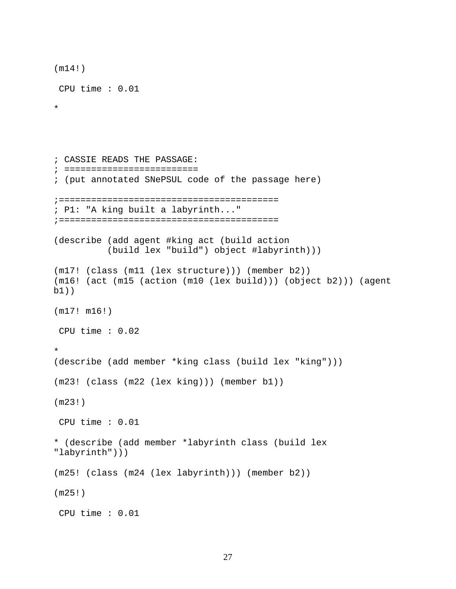```
(m14!) 
  CPU time : 0.01 
* 
; CASSIE READS THE PASSAGE: 
; ========================= 
; (put annotated SNePSUL code of the passage here) 
;========================================= 
; P1: "A king built a labyrinth..." 
;========================================= 
(describe (add agent #king act (build action 
           (build lex "build") object #labyrinth))) 
(m17! (class (m11 (lex structure))) (member b2)) 
(m16! (act (m15 (action (m10 (lex build))) (object b2))) (agent 
b1)) 
(m17! m16!) 
  CPU time : 0.02 
* 
(describe (add member *king class (build lex "king"))) 
(m23! (class (m22 (lex king))) (member b1)) 
(m23!) 
  CPU time : 0.01 
* (describe (add member *labyrinth class (build lex 
"labyrinth"))) 
(m25! (class (m24 (lex labyrinth))) (member b2)) 
(m25!) 
  CPU time : 0.01
```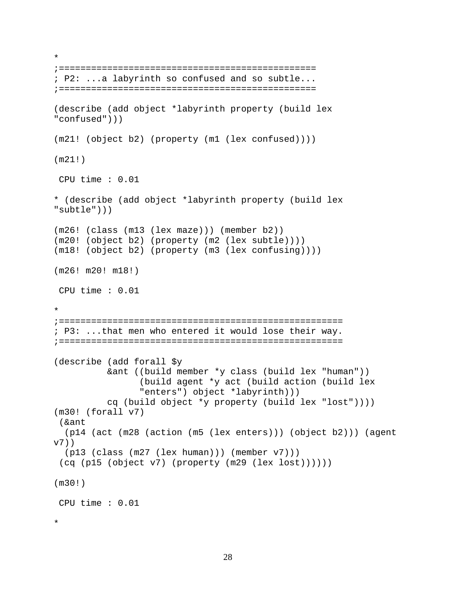```
;================================================ 
; P2: ...a labyrinth so confused and so subtle... 
;================================================ 
(describe (add object *labyrinth property (build lex 
"confused"))) 
(m21! (object b2) (property (m1 (lex confused)))) 
(m21!) 
 CPU time : 0.01 
* (describe (add object *labyrinth property (build lex 
"subtle"))) 
(m26! (class (m13 (lex maze))) (member b2)) 
(m20! (object b2) (property (m2 (lex subtle)))) 
(m18! (object b2) (property (m3 (lex confusing)))) 
(m26! m20! m18!) 
 CPU time : 0.01 
* 
;===================================================== 
; P3: ...that men who entered it would lose their way. 
;===================================================== 
(describe (add forall $y 
           &ant ((build member *y class (build lex "human")) 
                  (build agent *y act (build action (build lex 
                  "enters") object *labyrinth))) 
           cq (build object *y property (build lex "lost")))) 
(m30! (forall v7) 
  (&ant 
   (p14 (act (m28 (action (m5 (lex enters))) (object b2))) (agent 
v7)) 
   (p13 (class (m27 (lex human))) (member v7))) 
  (cq (p15 (object v7) (property (m29 (lex lost)))))) 
(m30!) 
 CPU time : 0.01 
*
```
\*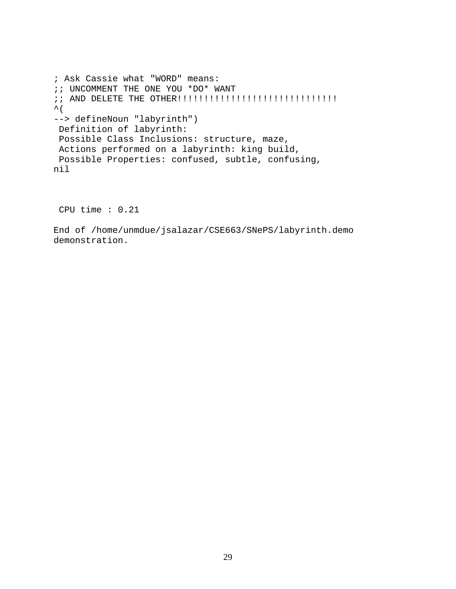```
; Ask Cassie what "WORD" means: 
;; UNCOMMENT THE ONE YOU *DO* WANT 
;; AND DELETE THE OTHER!!!!!!!!!!!!!!!!!!!!!!!!!!!!!! 
\hat{\mathcal{L}} (
--> defineNoun "labyrinth") 
 Definition of labyrinth: 
 Possible Class Inclusions: structure, maze, 
  Actions performed on a labyrinth: king build, 
  Possible Properties: confused, subtle, confusing, 
nil
```
CPU time : 0.21

End of /home/unmdue/jsalazar/CSE663/SNePS/labyrinth.demo demonstration.